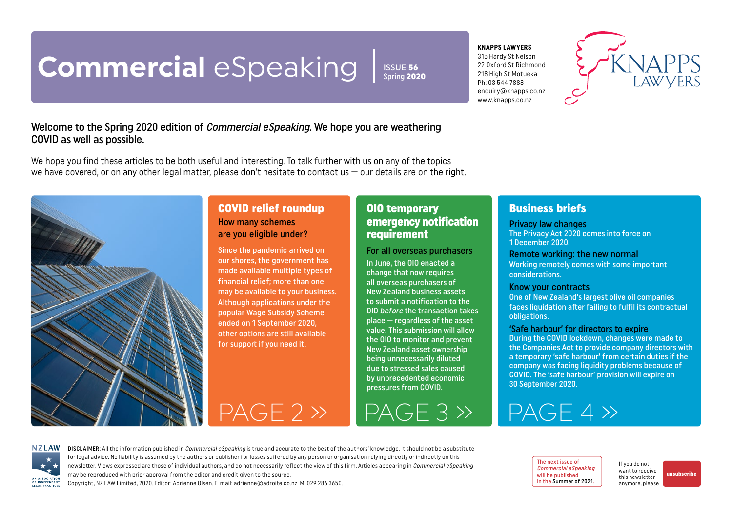# <span id="page-0-0"></span>**Commercial** eSpeaking

ISSUE 56  $\overline{\text{Sorina}}$  2020

#### **KNAPPS LAWYERS**

315 Hardy St Nelson 22 Oxford St Richmond 218 High St Motueka Ph: 03 544 7888 enquiry@knapps.co.nz www.knapps.co.nz



#### Welcome to the Spring 2020 edition of Commercial eSpeaking. We hope you are weathering COVID as well as possible.

We hope you find these articles to be both useful and interesting. To talk further with us on any of the topics we have covered, or on any other legal matter, please don't hesitate to contact us – our details are on the right.



#### COVID relief roundup How many schemes are you eligible under?

Since the pandemic arrived on our shores, the government has made available multiple types of financial relief; more than one may be available to your business. Although applications under the popular Wage Subsidy Scheme ended on 1 September 2020, other options are still available for support if you need it.

#### OIO temporary emergency notification requirement

#### For all overseas purchasers In June, the OIO enacted a change that now requires all overseas purchasers of New Zealand business assets to submit a notification to the OIO before the transaction takes place — regardless of the asset value. This submission will allow the OIO to monitor and prevent New Zealand asset ownership being unnecessarily diluted due to stressed sales caused by unprecedented economic pressures from COVID.

[PAGE 2 »](#page-1-0) [PAGE 3 »](#page-2-0) [PAGE 4 »](#page-3-0)

### Business briefs

#### Privacy law changes

The Privacy Act 2020 comes into force on 1 December 2020.

#### Remote working: the new normal

Working remotely comes with some important considerations.

#### Know your contracts

One of New Zealand's largest olive oil companies faces liquidation after failing to fulfil its contractual obligations.

#### 'Safe harbour' for directors to expire

During the COVID lockdown, changes were made to the Companies Act to provide company directors with a temporary 'safe harbour' from certain duties if the company was facing liquidity problems because of COVID. The 'safe harbour' provision will expire on 30 September 2020.



DISCLAIMER: All the information published in *Commercial eSpeaking* is true and accurate to the best of the authors' knowledge. It should not be a substitute for legal advice. No liability is assumed by the authors or publisher for losses suffered by any person or organisation relying directly or indirectly on this newsletter. Views expressed are those of individual authors, and do not necessarily reflect the view of this firm. Articles appearing in Commercial eSpeaking may be reproduced with prior approval from the editor and credit given to the source. Copyright, NZ LAW Limited, 2020. Editor: Adrienne Olsen. [E-mail: adrienne@adroite.co.nz](mailto:adrienne@adroite.co.nz). M: 029 286 3650.

The next issue of Commercial eSpeaking will be published in the Summer of 2021.

If you do not want to receive this newsletter anymore, please

[unsubscribe](mailto:adrienne%40adroite.co.nz?subject=Commercial%20eSpeaking%20-%20unsubscribe%20me%20please)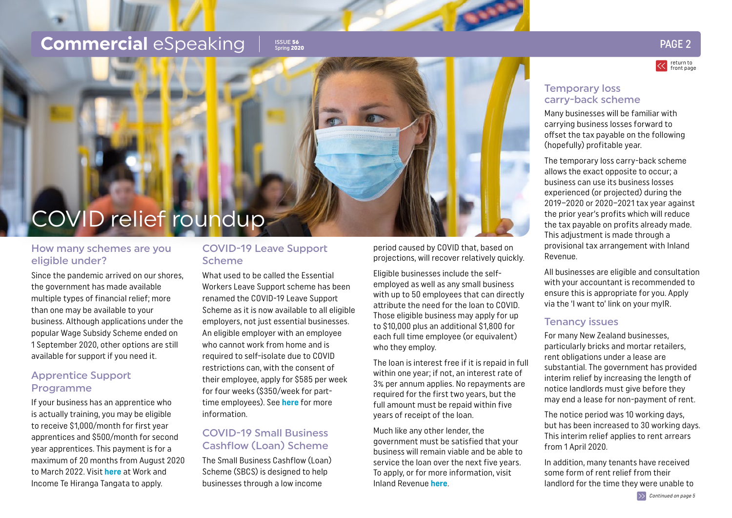### <span id="page-1-0"></span>**Commercial** eSpeaking I SSUE 56

### ISSUE 56<br>Spring 2020 PAGE 2



#### Temporary loss carry-back scheme

Many businesses will be familiar with carrying business losses forward to offset the tax payable on the following (hopefully) profitable year.

The temporary loss carry-back scheme allows the exact opposite to occur; a business can use its business losses experienced (or projected) during the 2019–2020 or 2020–2021 tax year against the prior year's profits which will reduce the tax payable on profits already made. This adjustment is made through a provisional tax arrangement with Inland Revenue.

All businesses are eligible and consultation with your accountant is recommended to ensure this is appropriate for you. Apply via the 'I want to' link on your myIR.

#### Tenancy issues

For many New Zealand businesses, particularly bricks and mortar retailers, rent obligations under a lease are substantial. The government has provided interim relief by increasing the length of notice landlords must give before they may end a lease for non-payment of rent.

The notice period was 10 working days, but has been increased to 30 working days. This interim relief applies to rent arrears from 1 April 2020.

In addition, many tenants have received some form of rent relief from their landlord for the time they were unable to

# COVID relief roundup

#### How many schemes are you eligible under?

Since the pandemic arrived on our shores, the government has made available multiple types of financial relief; more than one may be available to your business. Although applications under the popular Wage Subsidy Scheme ended on 1 September 2020, other options are still available for support if you need it.

#### Apprentice Support Programme

If your business has an apprentice who is actually training, you may be eligible to receive \$1,000/month for first year apprentices and \$500/month for second year apprentices. This payment is for a maximum of 20 months from August 2020 to March 2022. Visit **[here](https://www.workandincome.govt.nz/work/apprentice-support/index.html)** at Work and Income Te Hiranga Tangata to apply.

#### COVID-19 Leave Support Scheme

What used to be called the Essential Workers Leave Support scheme has been renamed the COVID-19 Leave Support Scheme as it is now available to all eligible employers, not just essential businesses. An eligible employer with an employee who cannot work from home and is required to self-isolate due to COVID restrictions can, with the consent of their employee, apply for \$585 per week for four weeks (\$350/week for parttime employees). See **[here](https://www.workandincome.govt.nz/covid-19/leave-support-scheme/index.html#:~:text=The%20COVID%2D19%20Leave%20Support,can)** for more information.

#### COVID-19 Small Business Cashflow (Loan) Scheme

The Small Business Cashflow (Loan) Scheme (SBCS) is designed to help businesses through a low income

period caused by COVID that, based on projections, will recover relatively quickly.

Eligible businesses include the selfemployed as well as any small business with up to 50 employees that can directly attribute the need for the loan to COVID. Those eligible business may apply for up to \$10,000 plus an additional \$1,800 for each full time employee (or equivalent) who they employ.

The loan is interest free if it is repaid in full within one year; if not, an interest rate of 3% per annum applies. No repayments are required for the first two years, but the full amount must be repaid within five years of receipt of the loan.

Much like any other lender, the government must be satisfied that your business will remain viable and be able to service the loan over the next five years. To apply, or for more information, visit Inland Revenue **[here](https://www.ird.govt.nz/covid-19/business-and-organisations/small-business-cash-flow-loan)**.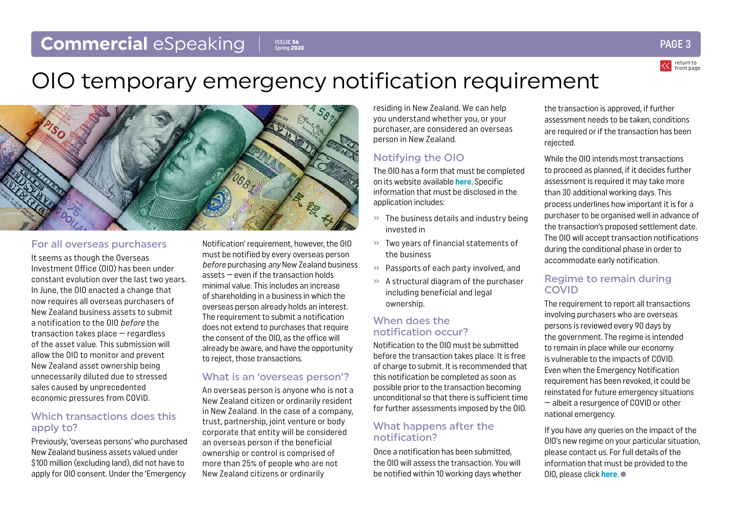#### <span id="page-2-0"></span>**Commercial** eSpeaking ISSUE 56 Spring 2020



## OIO temporary emergency notification requirement



#### For all overseas purchasers

It seems as though the Overseas Investment Office (OIO) has been under constant evolution over the last two years. In June, the OIO enacted a change that now requires all overseas purchasers of New Zealand business assets to submit a notification to the OIO before the transaction takes place — regardless of the asset value. This submission will allow the OIO to monitor and prevent New Zealand asset ownership being unnecessarily diluted due to stressed sales caused by unprecedented economic pressures from COVID.

#### Which transactions does this apply to?

Previously, 'overseas persons' who purchased New Zealand business assets valued under \$100 million (excluding land), did not have to apply for OIO consent. Under the 'Emergency

Notification' requirement, however, the OIO must be notified by every overseas person before purchasing any New Zealand business assets — even if the transaction holds minimal value. This includes an increase of shareholding in a business in which the overseas person already holds an interest. The requirement to submit a notification does not extend to purchases that require the consent of the OIO, as the office will already be aware, and have the opportunity to reject, those transactions.

#### What is an 'overseas person'?

An overseas person is anyone who is not a New Zealand citizen or ordinarily resident in New Zealand. In the case of a company, trust, partnership, joint venture or body corporate that entity will be considered an overseas person if the beneficial ownership or control is comprised of more than 25% of people who are not New Zealand citizens or ordinarily

residing in New Zealand. We can help you understand whether you, or your purchaser, are considered an overseas person in New Zealand.

#### Notifying the OIO

The OIO has a form that must be completed on its website available **[here](https://oio.linz.govt.nz/notification)**. Specific information that must be disclosed in the application includes:

- $\gg$  The business details and industry being invested in
- » Two years of financial statements of the business
- » Passports of each party involved, and
- » A structural diagram of the purchaser including beneficial and legal ownership.

#### When does the notification occur?

Notification to the OIO must be submitted before the transaction takes place. It is free of charge to submit. It is recommended that this notification be completed as soon as possible prior to the transaction becoming unconditional so that there is sufficient time for further assessments imposed by the OIO.

#### What happens after the notification?

Once a notification has been submitted, the OIO will assess the transaction. You will be notified within 10 working days whether the transaction is approved, if further assessment needs to be taken, conditions are required or if the transaction has been rejected.

While the OIO intends most transactions to proceed as planned, if it decides further assessment is required it may take more than 30 additional working days. This process underlines how important it is for a purchaser to be organised well in advance of the transaction's proposed settlement date. The OIO will accept transaction notifications during the conditional phase in order to accommodate early notification.

#### Regime to remain during **COVID**

The requirement to report all transactions involving purchasers who are overseas persons is reviewed every 90 days by the government. The regime is intended to remain in place while our economy is vulnerable to the impacts of COVID. Even when the Emergency Notification requirement has been revoked, it could be reinstated for future emergency situations — albeit a resurgence of COVID or other national emergency.

If you have any queries on the impact of the OIO's new regime on your particular situation, please contact us. For full details of the information that must be provided to the OIO, please click **[here](https://oio.linz.govt.nz/sites/default/files/Emergency%20notification%20form%20information%20required.pdf)**.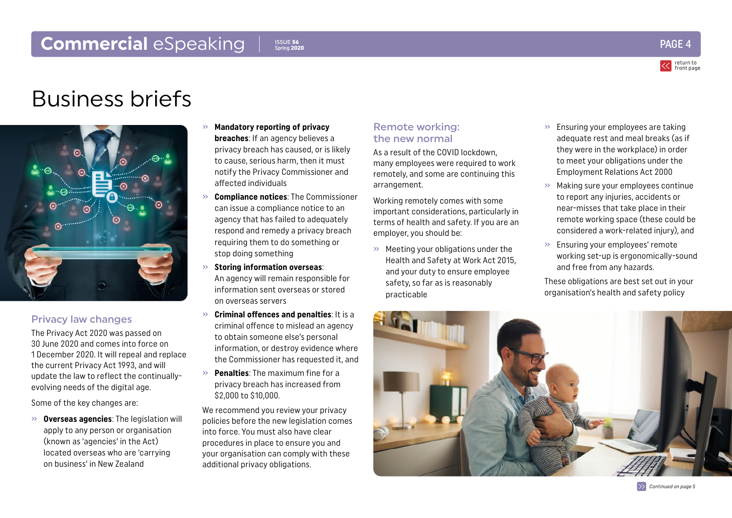### <span id="page-3-0"></span>**Commercial** eSpeaking  $\begin{array}{ccc} & & & & \text{PAGE} \\ & & & & \text{PAGE} \\ \end{array}$

return to [front page](#page-0-0)

## Business briefs



#### Privacy law changes

The Privacy Act 2020 was passed on 30 June 2020 and comes into force on 1 December 2020. It will repeal and replace the current Privacy Act 1993, and will update the law to reflect the continuallyevolving needs of the digital age.

Some of the key changes are:

» **Overseas agencies**: The legislation will apply to any person or organisation (known as 'agencies' in the Act) located overseas who are 'carrying on business' in New Zealand

#### » **Mandatory reporting of privacy breaches**: If an agency believes a privacy breach has caused, or is likely to cause, serious harm, then it must notify the Privacy Commissioner and affected individuals

ISSUE 56 Spring 2020

- » **Compliance notices**: The Commissioner can issue a compliance notice to an agency that has failed to adequately respond and remedy a privacy breach requiring them to do something or stop doing something
- » **Storing information overseas**: An agency will remain responsible for information sent overseas or stored on overseas servers
- » **Criminal offences and penalties**: It is a criminal offence to mislead an agency to obtain someone else's personal information, or destroy evidence where the Commissioner has requested it, and
- » **Penalties**: The maximum fine for a privacy breach has increased from \$2,000 to \$10,000.

We recommend you review your privacy policies before the new legislation comes into force. You must also have clear procedures in place to ensure you and your organisation can comply with these additional privacy obligations.

#### Remote working: the new normal

As a result of the COVID lockdown, many employees were required to work remotely, and some are continuing this arrangement.

Working remotely comes with some important considerations, particularly in terms of health and safety. If you are an employer, you should be:

» Meeting your obligations under the Health and Safety at Work Act 2015, and your duty to ensure employee safety, so far as is reasonably practicable

- » Ensuring your employees are taking adequate rest and meal breaks (as if they were in the workplace) in order to meet your obligations under the Employment Relations Act 2000
- » Making sure your employees continue to report any injuries, accidents or near-misses that take place in their remote working space (these could be considered a work-related injury), and
- » Ensuring your employees' remote working set-up is ergonomically-sound and free from any hazards.

These obligations are best set out in your organisation's health and safety policy



 $\gg$  [Continued on page 5](#page-4-0)